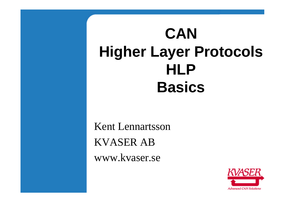# **CAN Higher Layer Protocols HLP Basics**

Kent Lennartsson KVASER AB www.kvaser.se

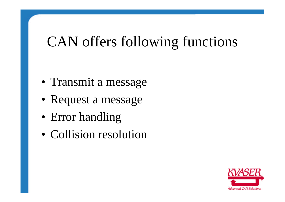## CAN offers following functions

- Transmit a message
- Request a message
- Error handling
- Collision resolution

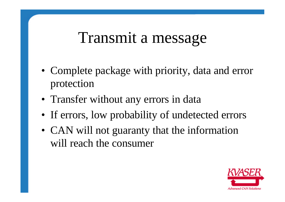### Transmit a message

- Complete package with priority, data and error protection
- Transfer without any errors in data
- If errors, low probability of undetected errors
- CAN will not guaranty that the information will reach the consumer

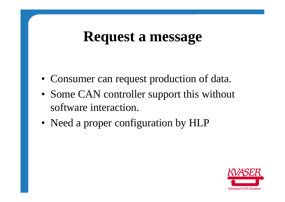#### **Request a message**

- Consumer can request production of data.
- Some CAN controller support this without software interaction.
- Need a proper configuration by HLP

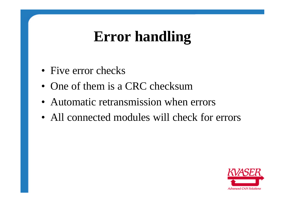# **Error handling**

- Five error checks
- One of them is a CRC checksum
- Automatic retransmission when errors
- All connected modules will check for errors

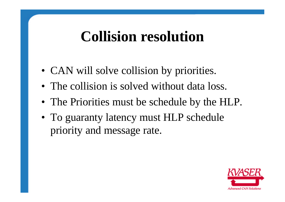### **Collision resolution**

- CAN will solve collision by priorities.
- The collision is solved without data loss.
- The Priorities must be schedule by the HLP.
- To guaranty latency must HLP schedule priority and message rate.

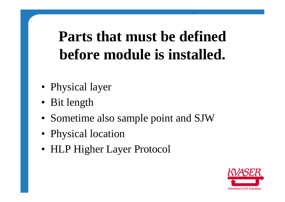# **Parts that must be defined before module is installed.**

- Physical layer
- Bit length
- Sometime also sample point and SJW
- Physical location
- HLP Higher Layer Protocol

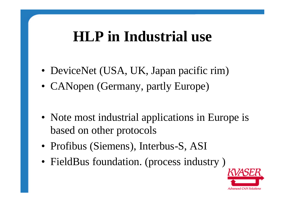### **HLP in Industrial use**

- DeviceNet (USA, UK, Japan pacific rim)
- CANopen (Germany, partly Europe)
- Note most industrial applications in Europe is based on other protocols
- Profibus (Siemens), Interbus-S, ASI
- FieldBus foundation. (process industry)

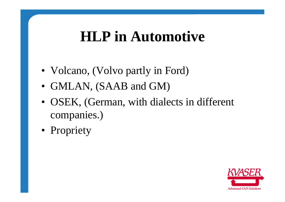#### **HLP in Automotive**

- Volcano, (Volvo partly in Ford)
- GMLAN, (SAAB and GM)
- OSEK, (German, with dialects in different companies.)
- Propriety

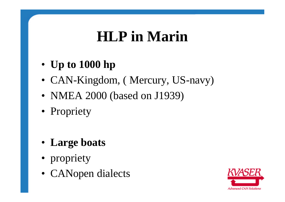# **HLP in Marin**

- **Up to 1000 hp**
- CAN-Kingdom, (Mercury, US-navy)
- NMEA 2000 (based on J1939)
- Propriety
- **Large boats**
- propriety
- CANopen dialects

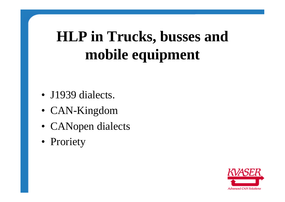# **HLP in Trucks, busses and mobile equipment**

- J1939 dialects.
- CAN-Kingdom
- CANopen dialects
- Proriety

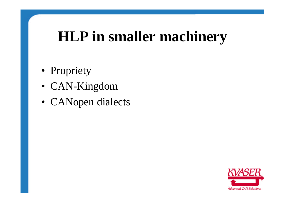## **HLP in smaller machinery**

- Propriety
- CAN-Kingdom
- CANopen dialects

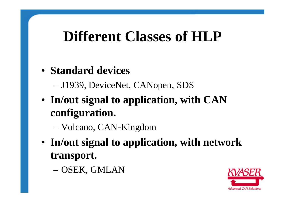### **Different Classes of HLP**

#### • **Standard devices**

– J1939, DeviceNet, CANopen, SDS

• **In/out signal to application, with CAN configuration.**

– Volcano, CAN-Kingdom

• **In/out signal to application, with network transport.**

– OSEK, GMLAN